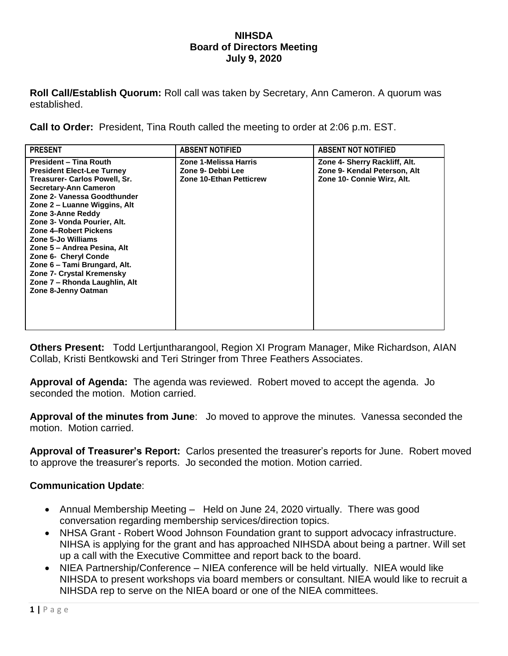## **NIHSDA Board of Directors Meeting July 9, 2020**

**Roll Call/Establish Quorum:** Roll call was taken by Secretary, Ann Cameron. A quorum was established.

**Call to Order:** President, Tina Routh called the meeting to order at 2:06 p.m. EST.

| <b>PRESENT</b>                                                                                                                                                                                                                                                                                                                                                                                                                                                                                  | <b>ABSENT NOTIFIED</b>                                                       | <b>ABSENT NOT NOTIFIED</b>                                                                  |
|-------------------------------------------------------------------------------------------------------------------------------------------------------------------------------------------------------------------------------------------------------------------------------------------------------------------------------------------------------------------------------------------------------------------------------------------------------------------------------------------------|------------------------------------------------------------------------------|---------------------------------------------------------------------------------------------|
| <b>President - Tina Routh</b><br><b>President Elect-Lee Turney</b><br>Treasurer- Carlos Powell, Sr.<br>Secretary-Ann Cameron<br>Zone 2- Vanessa Goodthunder<br>Zone 2 – Luanne Wiggins, Alt<br>Zone 3-Anne Reddy<br>Zone 3- Vonda Pourier, Alt.<br><b>Zone 4-Robert Pickens</b><br><b>Zone 5-Jo Williams</b><br>Zone 5 - Andrea Pesina, Alt<br>Zone 6- Cheryl Conde<br>Zone 6 – Tami Brungard, Alt.<br><b>Zone 7- Crystal Kremensky</b><br>Zone 7 – Rhonda Laughlin, Alt<br>Zone 8-Jenny Oatman | Zone 1-Melissa Harris<br>Zone 9- Debbi Lee<br><b>Zone 10-Ethan Petticrew</b> | Zone 4- Sherry Rackliff, Alt.<br>Zone 9- Kendal Peterson, Alt<br>Zone 10- Connie Wirz, Alt. |

**Others Present:** Todd Lertjuntharangool, Region XI Program Manager, Mike Richardson, AIAN Collab, Kristi Bentkowski and Teri Stringer from Three Feathers Associates.

**Approval of Agenda:** The agenda was reviewed. Robert moved to accept the agenda. Jo seconded the motion. Motion carried.

**Approval of the minutes from June**: Jo moved to approve the minutes. Vanessa seconded the motion. Motion carried.

**Approval of Treasurer's Report:** Carlos presented the treasurer's reports for June. Robert moved to approve the treasurer's reports. Jo seconded the motion. Motion carried.

## **Communication Update**:

- Annual Membership Meeting Held on June 24, 2020 virtually. There was good conversation regarding membership services/direction topics.
- NHSA Grant Robert Wood Johnson Foundation grant to support advocacy infrastructure. NIHSA is applying for the grant and has approached NIHSDA about being a partner. Will set up a call with the Executive Committee and report back to the board.
- NIEA Partnership/Conference NIEA conference will be held virtually. NIEA would like NIHSDA to present workshops via board members or consultant. NIEA would like to recruit a NIHSDA rep to serve on the NIEA board or one of the NIEA committees.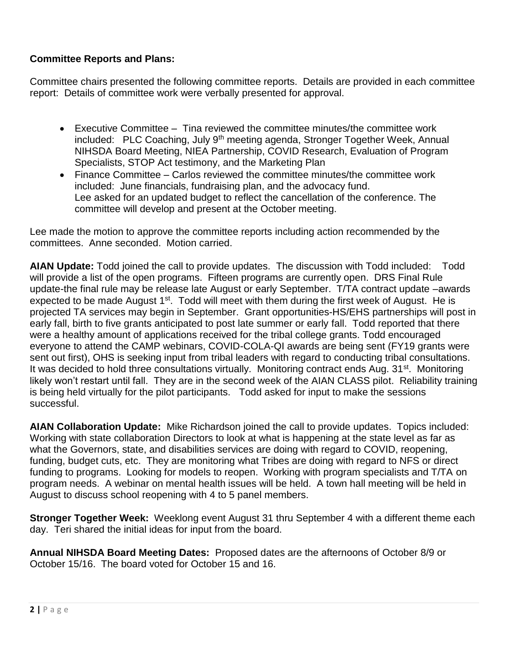## **Committee Reports and Plans:**

Committee chairs presented the following committee reports. Details are provided in each committee report: Details of committee work were verbally presented for approval.

- Executive Committee Tina reviewed the committee minutes/the committee work included: PLC Coaching, July 9<sup>th</sup> meeting agenda, Stronger Together Week, Annual NIHSDA Board Meeting, NIEA Partnership, COVID Research, Evaluation of Program Specialists, STOP Act testimony, and the Marketing Plan
- Finance Committee Carlos reviewed the committee minutes/the committee work included: June financials, fundraising plan, and the advocacy fund. Lee asked for an updated budget to reflect the cancellation of the conference. The committee will develop and present at the October meeting.

Lee made the motion to approve the committee reports including action recommended by the committees. Anne seconded. Motion carried.

**AIAN Update:** Todd joined the call to provide updates. The discussion with Todd included: Todd will provide a list of the open programs. Fifteen programs are currently open. DRS Final Rule update-the final rule may be release late August or early September. T/TA contract update –awards expected to be made August  $1<sup>st</sup>$ . Todd will meet with them during the first week of August. He is projected TA services may begin in September. Grant opportunities-HS/EHS partnerships will post in early fall, birth to five grants anticipated to post late summer or early fall. Todd reported that there were a healthy amount of applications received for the tribal college grants. Todd encouraged everyone to attend the CAMP webinars, COVID-COLA-QI awards are being sent (FY19 grants were sent out first), OHS is seeking input from tribal leaders with regard to conducting tribal consultations. It was decided to hold three consultations virtually. Monitoring contract ends Aug. 31<sup>st</sup>. Monitoring likely won't restart until fall. They are in the second week of the AIAN CLASS pilot. Reliability training is being held virtually for the pilot participants. Todd asked for input to make the sessions successful.

**AIAN Collaboration Update:** Mike Richardson joined the call to provide updates. Topics included: Working with state collaboration Directors to look at what is happening at the state level as far as what the Governors, state, and disabilities services are doing with regard to COVID, reopening, funding, budget cuts, etc. They are monitoring what Tribes are doing with regard to NFS or direct funding to programs. Looking for models to reopen. Working with program specialists and T/TA on program needs. A webinar on mental health issues will be held. A town hall meeting will be held in August to discuss school reopening with 4 to 5 panel members.

**Stronger Together Week:** Weeklong event August 31 thru September 4 with a different theme each day. Teri shared the initial ideas for input from the board.

**Annual NIHSDA Board Meeting Dates:** Proposed dates are the afternoons of October 8/9 or October 15/16. The board voted for October 15 and 16.